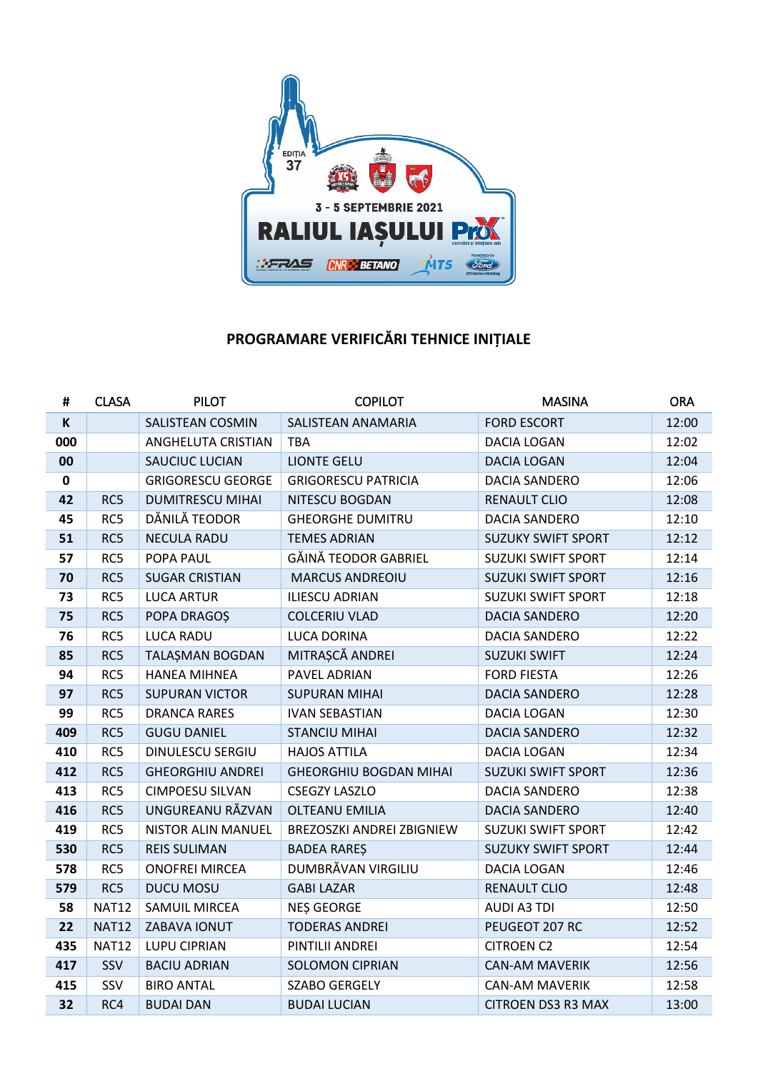

## **PROGRAMARE VERIFICĂRI TEHNICE INIȚIALE**

| #         | <b>CLASA</b> | <b>PILOT</b>             | <b>COPILOT</b>                | <b>MASINA</b>             | <b>ORA</b> |
|-----------|--------------|--------------------------|-------------------------------|---------------------------|------------|
| K         |              | SALISTEAN COSMIN         | SALISTEAN ANAMARIA            | <b>FORD ESCORT</b>        | 12:00      |
| 000       |              | ANGHELUTA CRISTIAN       | <b>TBA</b>                    | <b>DACIA LOGAN</b>        | 12:02      |
| 00        |              | SAUCIUC LUCIAN           | <b>LIONTE GELU</b>            | <b>DACIA LOGAN</b>        | 12:04      |
| $\pmb{0}$ |              | <b>GRIGORESCU GEORGE</b> | <b>GRIGORESCU PATRICIA</b>    | <b>DACIA SANDERO</b>      | 12:06      |
| 42        | RC5          | <b>DUMITRESCU MIHAI</b>  | NITESCU BOGDAN                | <b>RENAULT CLIO</b>       | 12:08      |
| 45        | RC5          | DĂNILĂ TEODOR            | <b>GHEORGHE DUMITRU</b>       | <b>DACIA SANDERO</b>      | 12:10      |
| 51        | RC5          | <b>NECULA RADU</b>       | <b>TEMES ADRIAN</b>           | <b>SUZUKY SWIFT SPORT</b> | 12:12      |
| 57        | RC5          | POPA PAUL                | GĂINĂ TEODOR GABRIEL          | <b>SUZUKI SWIFT SPORT</b> | 12:14      |
| 70        | RC5          | <b>SUGAR CRISTIAN</b>    | <b>MARCUS ANDREOIU</b>        | <b>SUZUKI SWIFT SPORT</b> | 12:16      |
| 73        | RC5          | <b>LUCA ARTUR</b>        | <b>ILIESCU ADRIAN</b>         | <b>SUZUKI SWIFT SPORT</b> | 12:18      |
| 75        | RC5          | POPA DRAGOȘ              | <b>COLCERIU VLAD</b>          | DACIA SANDERO             | 12:20      |
| 76        | RC5          | <b>LUCA RADU</b>         | LUCA DORINA                   | <b>DACIA SANDERO</b>      | 12:22      |
| 85        | RC5          | TALAŞMAN BOGDAN          | MITRAȘCĂ ANDREI               | <b>SUZUKI SWIFT</b>       | 12:24      |
| 94        | RC5          | <b>HANEA MIHNEA</b>      | PAVEL ADRIAN                  | <b>FORD FIESTA</b>        | 12:26      |
| 97        | RC5          | <b>SUPURAN VICTOR</b>    | <b>SUPURAN MIHAI</b>          | <b>DACIA SANDERO</b>      | 12:28      |
| 99        | RC5          | <b>DRANCA RARES</b>      | <b>IVAN SEBASTIAN</b>         | <b>DACIA LOGAN</b>        | 12:30      |
| 409       | RC5          | <b>GUGU DANIEL</b>       | <b>STANCIU MIHAI</b>          | <b>DACIA SANDERO</b>      | 12:32      |
| 410       | RC5          | DINULESCU SERGIU         | <b>HAJOS ATTILA</b>           | <b>DACIA LOGAN</b>        | 12:34      |
| 412       | RC5          | <b>GHEORGHIU ANDREI</b>  | <b>GHEORGHIU BOGDAN MIHAI</b> | <b>SUZUKI SWIFT SPORT</b> | 12:36      |
| 413       | RC5          | <b>CIMPOESU SILVAN</b>   | <b>CSEGZY LASZLO</b>          | <b>DACIA SANDERO</b>      | 12:38      |
| 416       | RC5          | UNGUREANU RĂZVAN         | <b>OLTEANU EMILIA</b>         | <b>DACIA SANDERO</b>      | 12:40      |
| 419       | RC5          | NISTOR ALIN MANUEL       | BREZOSZKI ANDREI ZBIGNIEW     | <b>SUZUKI SWIFT SPORT</b> | 12:42      |
| 530       | RC5          | <b>REIS SULIMAN</b>      | <b>BADEA RAREŞ</b>            | <b>SUZUKY SWIFT SPORT</b> | 12:44      |
| 578       | RC5          | <b>ONOFREI MIRCEA</b>    | DUMBRĂVAN VIRGILIU            | DACIA LOGAN               | 12:46      |
| 579       | RC5          | <b>DUCU MOSU</b>         | <b>GABI LAZAR</b>             | <b>RENAULT CLIO</b>       | 12:48      |
| 58        | <b>NAT12</b> | <b>SAMUIL MIRCEA</b>     | NES GEORGE                    | <b>AUDI A3 TDI</b>        | 12:50      |
| 22        | <b>NAT12</b> | ZABAVA IONUT             | <b>TODERAS ANDREI</b>         | PEUGEOT 207 RC            | 12:52      |
| 435       | <b>NAT12</b> | LUPU CIPRIAN             | PINTILII ANDREI               | <b>CITROEN C2</b>         | 12:54      |
| 417       | SSV          | <b>BACIU ADRIAN</b>      | <b>SOLOMON CIPRIAN</b>        | <b>CAN-AM MAVERIK</b>     | 12:56      |
| 415       | SSV          | <b>BIRO ANTAL</b>        | <b>SZABO GERGELY</b>          | <b>CAN-AM MAVERIK</b>     | 12:58      |
| 32        | RC4          | <b>BUDAI DAN</b>         | <b>BUDAI LUCIAN</b>           | <b>CITROEN DS3 R3 MAX</b> | 13:00      |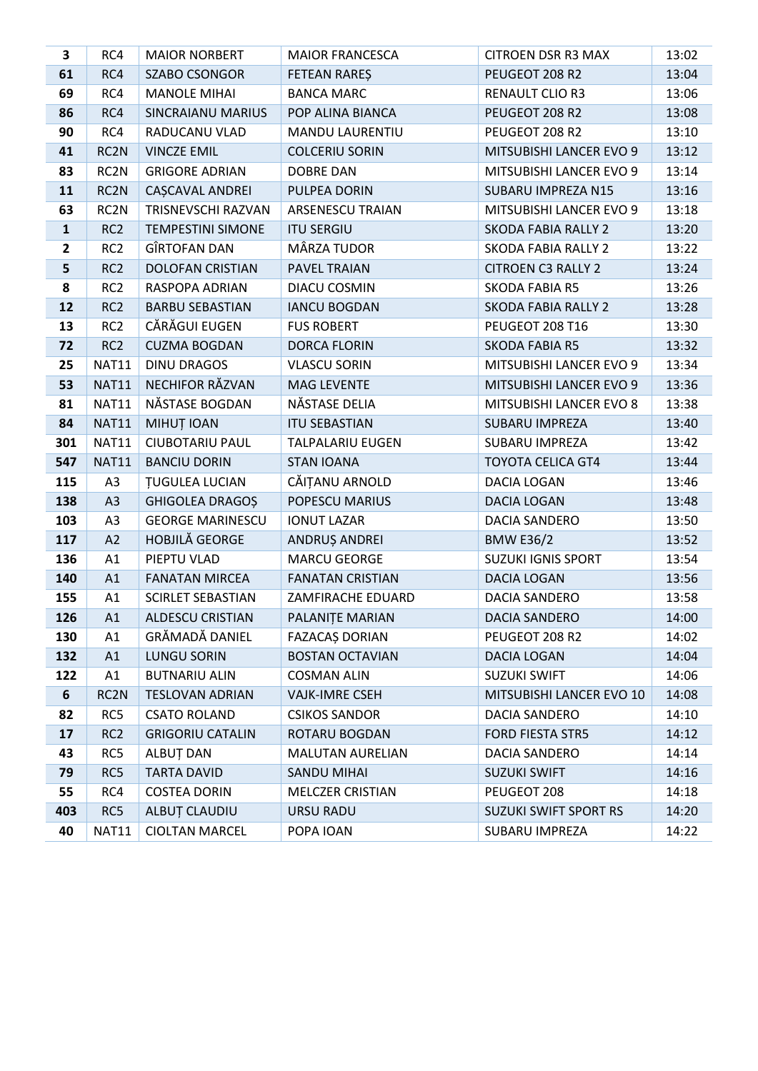| 3            | RC4               | <b>MAIOR NORBERT</b>     | <b>MAIOR FRANCESCA</b>  | <b>CITROEN DSR R3 MAX</b>    | 13:02 |
|--------------|-------------------|--------------------------|-------------------------|------------------------------|-------|
| 61           | RC4               | <b>SZABO CSONGOR</b>     | <b>FETEAN RARES</b>     | PEUGEOT 208 R2               | 13:04 |
| 69           | RC4               | <b>MANOLE MIHAI</b>      | <b>BANCA MARC</b>       | <b>RENAULT CLIO R3</b>       | 13:06 |
| 86           | RC4               | <b>SINCRAIANU MARIUS</b> | POP ALINA BIANCA        | PEUGEOT 208 R2               | 13:08 |
| 90           | RC4               | RADUCANU VLAD            | <b>MANDU LAURENTIU</b>  | PEUGEOT 208 R2               | 13:10 |
| 41           | RC2N              | <b>VINCZE EMIL</b>       | <b>COLCERIU SORIN</b>   | MITSUBISHI LANCER EVO 9      | 13:12 |
| 83           | RC <sub>2</sub> N | <b>GRIGORE ADRIAN</b>    | <b>DOBRE DAN</b>        | MITSUBISHI LANCER EVO 9      | 13:14 |
| 11           | RC2N              | CAȘCAVAL ANDREI          | PULPEA DORIN            | SUBARU IMPREZA N15           | 13:16 |
| 63           | RC <sub>2</sub> N | TRISNEVSCHI RAZVAN       | <b>ARSENESCU TRAIAN</b> | MITSUBISHI LANCER EVO 9      | 13:18 |
| $\mathbf{1}$ | RC <sub>2</sub>   | <b>TEMPESTINI SIMONE</b> | <b>ITU SERGIU</b>       | <b>SKODA FABIA RALLY 2</b>   | 13:20 |
| $\mathbf{2}$ | RC <sub>2</sub>   | GÎRTOFAN DAN             | MÂRZA TUDOR             | <b>SKODA FABIA RALLY 2</b>   | 13:22 |
| 5            | RC <sub>2</sub>   | <b>DOLOFAN CRISTIAN</b>  | PAVEL TRAIAN            | <b>CITROEN C3 RALLY 2</b>    | 13:24 |
| 8            | RC <sub>2</sub>   | RASPOPA ADRIAN           | <b>DIACU COSMIN</b>     | <b>SKODA FABIA R5</b>        | 13:26 |
| 12           | RC <sub>2</sub>   | <b>BARBU SEBASTIAN</b>   | <b>IANCU BOGDAN</b>     | <b>SKODA FABIA RALLY 2</b>   | 13:28 |
| 13           | RC <sub>2</sub>   | CĂRĂGUI EUGEN            | <b>FUS ROBERT</b>       | PEUGEOT 208 T16              | 13:30 |
| 72           | RC <sub>2</sub>   | <b>CUZMA BOGDAN</b>      | <b>DORCA FLORIN</b>     | <b>SKODA FABIA R5</b>        | 13:32 |
| 25           | <b>NAT11</b>      | <b>DINU DRAGOS</b>       | <b>VLASCU SORIN</b>     | MITSUBISHI LANCER EVO 9      | 13:34 |
| 53           | <b>NAT11</b>      | NECHIFOR RĂZVAN          | MAG LEVENTE             | MITSUBISHI LANCER EVO 9      | 13:36 |
| 81           | <b>NAT11</b>      | NĂSTASE BOGDAN           | NĂSTASE DELIA           | MITSUBISHI LANCER EVO 8      | 13:38 |
| 84           | <b>NAT11</b>      | MIHUȚ IOAN               | <b>ITU SEBASTIAN</b>    | <b>SUBARU IMPREZA</b>        | 13:40 |
| 301          | <b>NAT11</b>      | <b>CIUBOTARIU PAUL</b>   | <b>TALPALARIU EUGEN</b> | SUBARU IMPREZA               | 13:42 |
| 547          | <b>NAT11</b>      | <b>BANCIU DORIN</b>      | <b>STAN IOANA</b>       | <b>TOYOTA CELICA GT4</b>     | 13:44 |
| 115          | A3                | <b>TUGULEA LUCIAN</b>    | CĂIȚANU ARNOLD          | DACIA LOGAN                  | 13:46 |
| 138          | A3                | GHIGOLEA DRAGOȘ          | POPESCU MARIUS          | DACIA LOGAN                  | 13:48 |
| 103          | A3                | <b>GEORGE MARINESCU</b>  | <b>IONUT LAZAR</b>      | DACIA SANDERO                | 13:50 |
| 117          | A2                | <b>HOBJILĂ GEORGE</b>    | ANDRUȘ ANDREI           | <b>BMW E36/2</b>             | 13:52 |
| 136          | A1                | PIEPTU VLAD              | <b>MARCU GEORGE</b>     | <b>SUZUKI IGNIS SPORT</b>    | 13:54 |
| 140          | A1                | <b>FANATAN MIRCEA</b>    | <b>FANATAN CRISTIAN</b> | DACIA LOGAN                  | 13:56 |
| 155          | A1                | <b>SCIRLET SEBASTIAN</b> | ZAMFIRACHE EDUARD       | <b>DACIA SANDERO</b>         | 13:58 |
| 126          | A1                | ALDESCU CRISTIAN         | PALANIȚE MARIAN         | DACIA SANDERO                | 14:00 |
| 130          | A1                | GRĂMADĂ DANIEL           | FAZACAȘ DORIAN          | PEUGEOT 208 R2               | 14:02 |
| 132          | A1                | <b>LUNGU SORIN</b>       | <b>BOSTAN OCTAVIAN</b>  | DACIA LOGAN                  | 14:04 |
| 122          | A1                | <b>BUTNARIU ALIN</b>     | <b>COSMAN ALIN</b>      | <b>SUZUKI SWIFT</b>          | 14:06 |
| 6            | RC <sub>2</sub> N | <b>TESLOVAN ADRIAN</b>   | <b>VAJK-IMRE CSEH</b>   | MITSUBISHI LANCER EVO 10     | 14:08 |
| 82           | RC5               | <b>CSATO ROLAND</b>      | <b>CSIKOS SANDOR</b>    | <b>DACIA SANDERO</b>         | 14:10 |
| 17           | RC <sub>2</sub>   | <b>GRIGORIU CATALIN</b>  | ROTARU BOGDAN           | <b>FORD FIESTA STR5</b>      | 14:12 |
| 43           | RC5               | ALBUT DAN                | MALUTAN AURELIAN        | DACIA SANDERO                | 14:14 |
| 79           | RC5               | <b>TARTA DAVID</b>       | <b>SANDU MIHAI</b>      | <b>SUZUKI SWIFT</b>          | 14:16 |
| 55           | RC4               | <b>COSTEA DORIN</b>      | <b>MELCZER CRISTIAN</b> | PEUGEOT 208                  | 14:18 |
| 403          | RC5               | ALBUȚ CLAUDIU            | <b>URSU RADU</b>        | <b>SUZUKI SWIFT SPORT RS</b> | 14:20 |
| 40           | <b>NAT11</b>      | <b>CIOLTAN MARCEL</b>    | POPA IOAN               | SUBARU IMPREZA               | 14:22 |